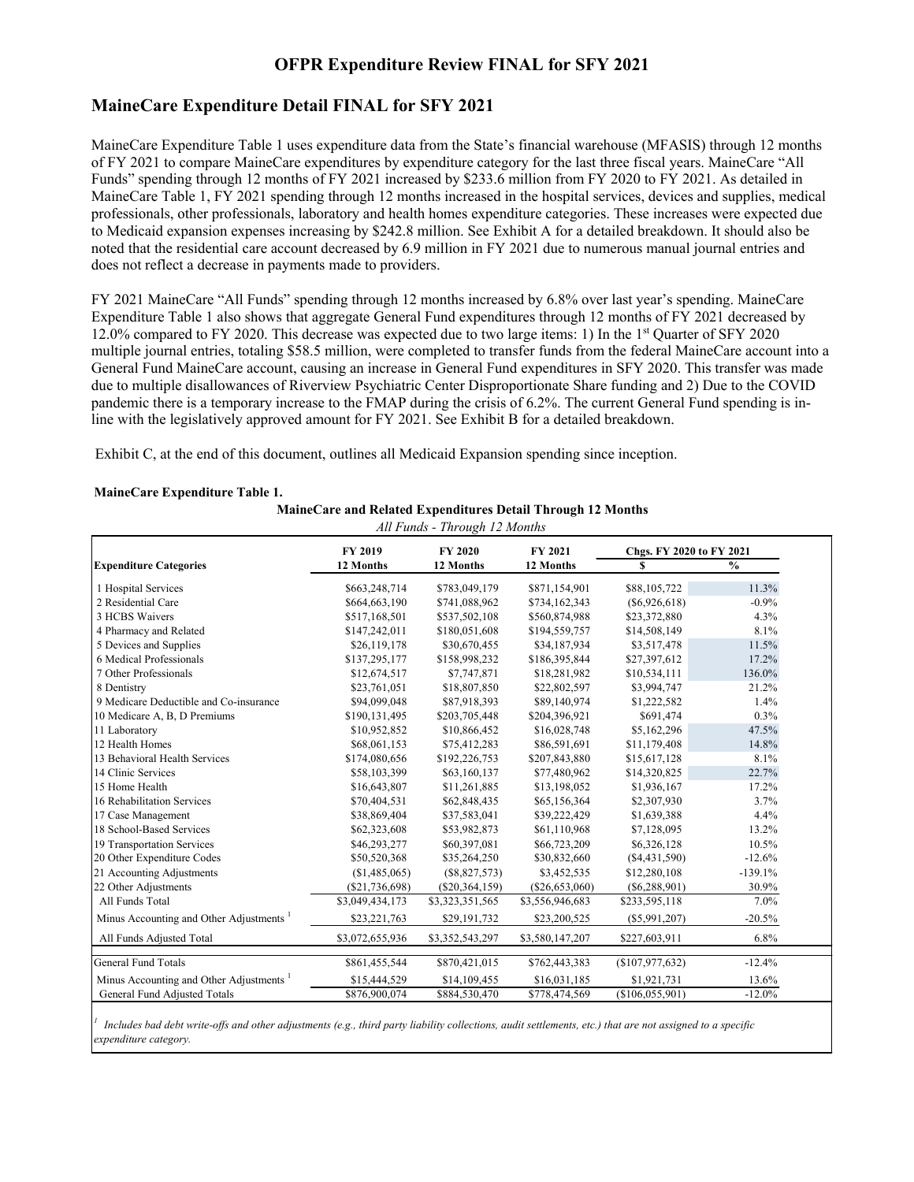#### **MaineCare Expenditure Detail FINAL for SFY 2021**

MaineCare Expenditure Table 1 uses expenditure data from the State's financial warehouse (MFASIS) through 12 months of FY 2021 to compare MaineCare expenditures by expenditure category for the last three fiscal years. MaineCare "All Funds" spending through 12 months of FY 2021 increased by \$233.6 million from FY 2020 to FY 2021. As detailed in MaineCare Table 1, FY 2021 spending through 12 months increased in the hospital services, devices and supplies, medical professionals, other professionals, laboratory and health homes expenditure categories. These increases were expected due to Medicaid expansion expenses increasing by \$242.8 million. See Exhibit A for a detailed breakdown. It should also be noted that the residential care account decreased by 6.9 million in FY 2021 due to numerous manual journal entries and does not reflect a decrease in payments made to providers.

FY 2021 MaineCare "All Funds" spending through 12 months increased by 6.8% over last year's spending. MaineCare Expenditure Table 1 also shows that aggregate General Fund expenditures through 12 months of FY 2021 decreased by 12.0% compared to FY 2020. This decrease was expected due to two large items: 1) In the 1st Quarter of SFY 2020 multiple journal entries, totaling \$58.5 million, were completed to transfer funds from the federal MaineCare account into a General Fund MaineCare account, causing an increase in General Fund expenditures in SFY 2020. This transfer was made due to multiple disallowances of Riverview Psychiatric Center Disproportionate Share funding and 2) Due to the COVID pandemic there is a temporary increase to the FMAP during the crisis of 6.2%. The current General Fund spending is inline with the legislatively approved amount for FY 2021. See Exhibit B for a detailed breakdown.

Exhibit C, at the end of this document, outlines all Medicaid Expansion spending since inception.

#### **MaineCare Expenditure Table 1.**

| MaineCare and Related Expenditures Detail Through 12 Months |  |  |          |  |
|-------------------------------------------------------------|--|--|----------|--|
|                                                             |  |  | $\cdots$ |  |

|                                        | FY 2019         | FY 2020          | FY 2021          | Chgs. FY 2020 to FY 2021 |               |  |  |
|----------------------------------------|-----------------|------------------|------------------|--------------------------|---------------|--|--|
| <b>Expenditure Categories</b>          | 12 Months       | 12 Months        | 12 Months        | S                        | $\frac{0}{0}$ |  |  |
| 1 Hospital Services                    | \$663,248,714   | \$783,049,179    | \$871,154,901    | \$88,105,722             | 11.3%         |  |  |
| 2 Residential Care                     | \$664,663,190   | \$741,088,962    | \$734,162,343    | (S6, 926, 618)           | $-0.9%$       |  |  |
| 3 HCBS Waivers                         | \$517,168,501   | \$537,502,108    | \$560,874,988    | \$23,372,880             | 4.3%          |  |  |
| 4 Pharmacy and Related                 | \$147,242,011   | \$180,051,608    | \$194,559,757    | \$14,508,149             | 8.1%          |  |  |
| 5 Devices and Supplies                 | \$26,119,178    | \$30,670,455     | \$34,187,934     | \$3,517,478              | 11.5%         |  |  |
| 6 Medical Professionals                | \$137,295,177   | \$158,998,232    | \$186,395,844    | \$27,397,612             | 17.2%         |  |  |
| 7 Other Professionals                  | \$12,674,517    | \$7,747,871      | \$18,281,982     | \$10,534,111             | 136.0%        |  |  |
| 8 Dentistry                            | \$23,761,051    | \$18,807,850     | \$22,802,597     | \$3,994,747              | 21.2%         |  |  |
| 9 Medicare Deductible and Co-insurance | \$94,099,048    | \$87,918,393     | \$89,140,974     | \$1,222,582              | 1.4%          |  |  |
| 10 Medicare A, B, D Premiums           | \$190,131,495   | \$203,705,448    | \$204,396,921    | \$691,474                | 0.3%          |  |  |
| 11 Laboratory                          | \$10,952,852    | \$10,866,452     | \$16,028,748     | \$5,162,296              | 47.5%         |  |  |
| 12 Health Homes                        | \$68,061,153    | \$75,412,283     | \$86,591,691     | \$11,179,408             | 14.8%         |  |  |
| 13 Behavioral Health Services          | \$174,080,656   | \$192,226,753    | \$207,843,880    | \$15,617,128             | 8.1%          |  |  |
| 14 Clinic Services                     | \$58,103,399    | \$63,160,137     | \$77,480,962     | \$14,320,825             | 22.7%         |  |  |
| 15 Home Health                         | \$16,643,807    | \$11,261,885     | \$13,198,052     | \$1,936,167              | 17.2%         |  |  |
| 16 Rehabilitation Services             | \$70,404,531    | \$62,848,435     | \$65,156,364     | \$2,307,930              | 3.7%          |  |  |
| 17 Case Management                     | \$38,869,404    | \$37,583,041     | \$39,222,429     | \$1,639,388              | 4.4%          |  |  |
| 18 School-Based Services               | \$62,323,608    | \$53,982,873     | \$61,110,968     | \$7,128,095              | 13.2%         |  |  |
| 19 Transportation Services             | \$46,293,277    | \$60,397,081     | \$66,723,209     | \$6,326,128              | 10.5%         |  |  |
| 20 Other Expenditure Codes             | \$50,520,368    | \$35,264,250     | \$30,832,660     | (\$4,431,590)            | $-12.6%$      |  |  |
| 21 Accounting Adjustments              | (\$1,485,065)   | $(\$8,827,573)$  | \$3,452,535      | \$12,280,108             | $-139.1%$     |  |  |
| 22 Other Adjustments                   | (\$21,736,698)  | $(\$20,364,159)$ | $(\$26,653,060)$ | $(\$6,288,901)$          | 30.9%         |  |  |
| All Funds Total                        | \$3,049,434,173 | \$3,323,351,565  | \$3,556,946,683  | \$233,595,118            | 7.0%          |  |  |
| Minus Accounting and Other Adjustments | \$23,221,763    | \$29,191,732     | \$23,200,525     | $(\$5,991,207)$          | $-20.5%$      |  |  |
| All Funds Adjusted Total               | \$3,072,655,936 | \$3,352,543,297  | \$3,580,147,207  | \$227,603,911            | 6.8%          |  |  |
| <b>General Fund Totals</b>             | \$861,455,544   | \$870,421,015    | \$762,443,383    | (\$107,977,632)          | $-12.4%$      |  |  |
| Minus Accounting and Other Adjustments | \$15,444,529    | \$14,109,455     | \$16,031,185     | \$1,921,731              | 13.6%         |  |  |
| General Fund Adjusted Totals           | \$876,900,074   | \$884,530,470    | \$778,474,569    | (\$106,055,901)          | $-12.0%$      |  |  |

*Includes bad debt write-offs and other adjustments (e.g., third party liability collections, audit settlements, etc.) that are not assigned to a specific expenditure category.*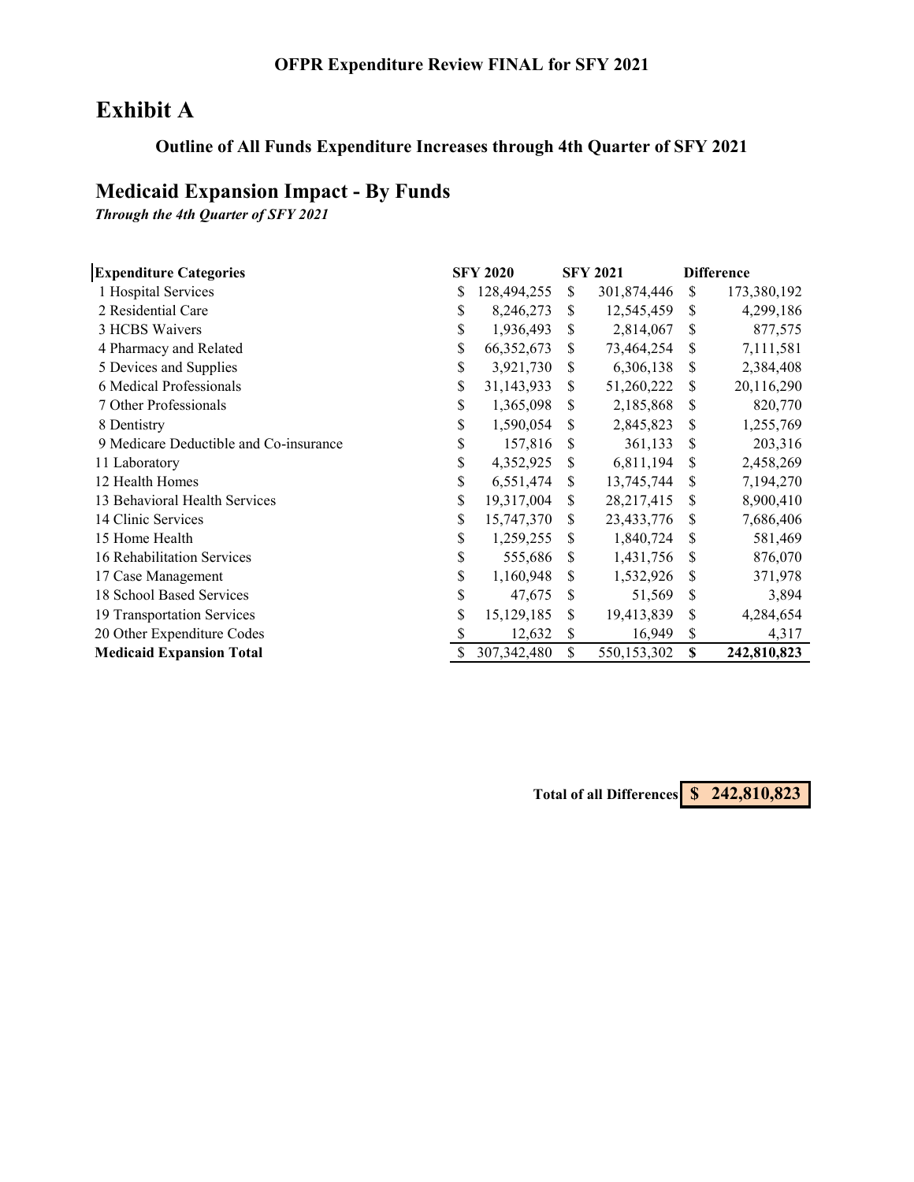# **Exhibit A**

# **Outline of All Funds Expenditure Increases through 4th Quarter of SFY 2021**

# **Medicaid Expansion Impact - By Funds**

*Through the 4th Quarter of SFY 2021*

| <b>Expenditure Categories</b>          |    | <b>SFY 2020</b> |               | <b>SFY 2021</b> | <b>Difference</b> |             |  |
|----------------------------------------|----|-----------------|---------------|-----------------|-------------------|-------------|--|
| 1 Hospital Services                    | \$ | 128,494,255     | <sup>\$</sup> | 301,874,446     | S.                | 173,380,192 |  |
| 2 Residential Care                     | \$ | 8,246,273       | \$.           | 12,545,459      | \$                | 4,299,186   |  |
| 3 HCBS Waivers                         | S  | 1,936,493       | S             | 2,814,067       | S                 | 877,575     |  |
| 4 Pharmacy and Related                 | \$ | 66,352,673      | S             | 73,464,254      | S                 | 7,111,581   |  |
| 5 Devices and Supplies                 | \$ | 3,921,730       | \$            | 6,306,138       | S                 | 2,384,408   |  |
| 6 Medical Professionals                | \$ | 31,143,933      | S             | 51,260,222      | \$                | 20,116,290  |  |
| 7 Other Professionals                  | \$ | 1,365,098       | S             | 2,185,868       | S                 | 820,770     |  |
| 8 Dentistry                            | \$ | 1,590,054       | \$.           | 2,845,823       | \$                | 1,255,769   |  |
| 9 Medicare Deductible and Co-insurance | S  | 157,816         | S             | 361,133         | S                 | 203,316     |  |
| 11 Laboratory                          | \$ | 4,352,925       | S             | 6,811,194       | S                 | 2,458,269   |  |
| 12 Health Homes                        | \$ | 6,551,474       | \$.           | 13,745,744      | S                 | 7,194,270   |  |
| 13 Behavioral Health Services          | \$ | 19,317,004      | \$.           | 28, 217, 415    | \$                | 8,900,410   |  |
| 14 Clinic Services                     | \$ | 15,747,370      | S             | 23,433,776      | \$                | 7,686,406   |  |
| 15 Home Health                         | \$ | 1,259,255       | S             | 1,840,724       | \$                | 581,469     |  |
| 16 Rehabilitation Services             | \$ | 555,686         | S             | 1,431,756       | S                 | 876,070     |  |
| 17 Case Management                     | \$ | 1,160,948       | S             | 1,532,926       | S                 | 371,978     |  |
| 18 School Based Services               | \$ | 47,675          | S             | 51,569          | S                 | 3,894       |  |
| 19 Transportation Services             | \$ | 15,129,185      | S             | 19,413,839      | \$                | 4,284,654   |  |
| 20 Other Expenditure Codes             |    | 12,632          | S             | 16,949          | \$                | 4,317       |  |
| <b>Medicaid Expansion Total</b>        | \$ | 307, 342, 480   | \$            | 550,153,302     | S                 | 242,810,823 |  |

**Total of all Differences \$ 242,810,823**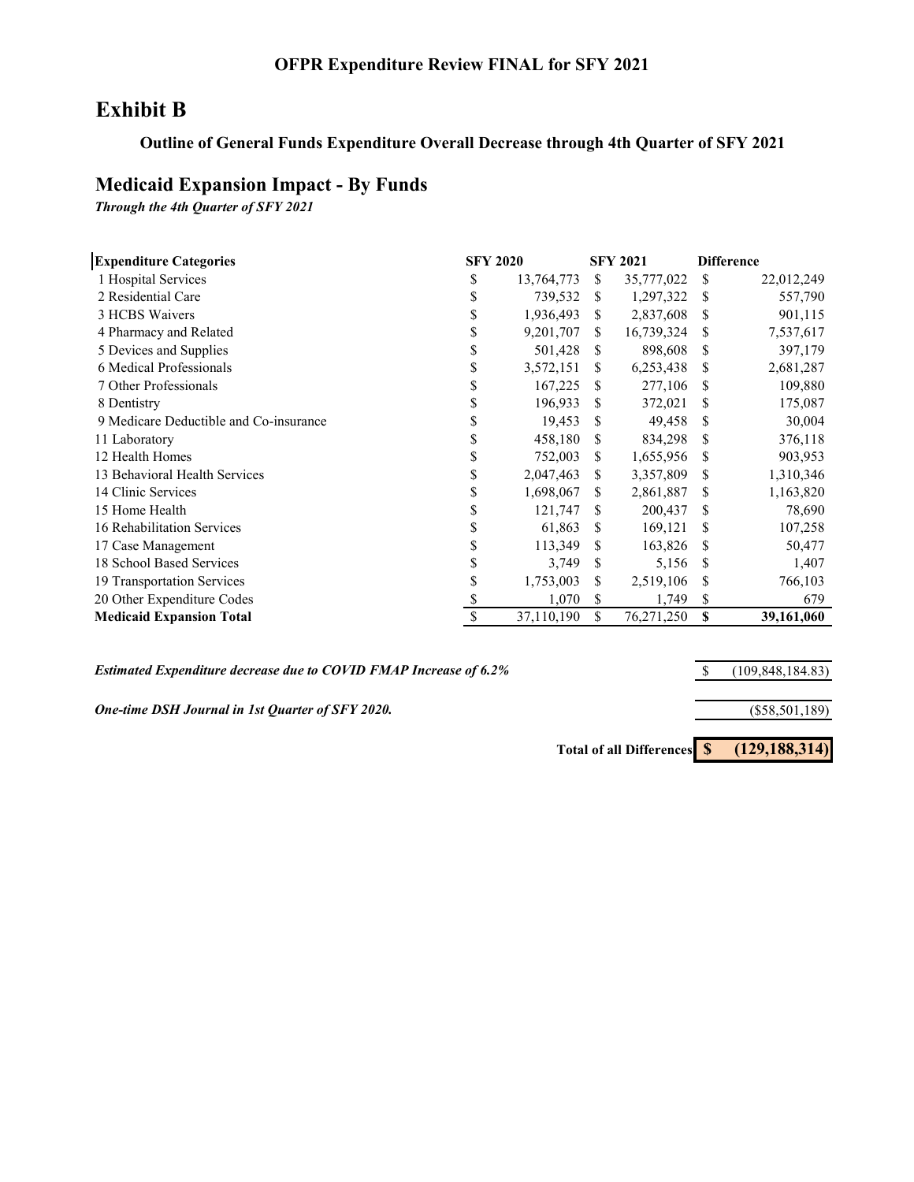# **Exhibit B**

### **Outline of General Funds Expenditure Overall Decrease through 4th Quarter of SFY 2021**

### **Medicaid Expansion Impact - By Funds**

*Through the 4th Quarter of SFY 2021*

| <b>Expenditure Categories</b>          |    | <b>SFY 2020</b> |    | <b>SFY 2021</b> | <b>Difference</b> |            |  |
|----------------------------------------|----|-----------------|----|-----------------|-------------------|------------|--|
| 1 Hospital Services                    | \$ | 13,764,773      | S  | 35,777,022      | \$                | 22,012,249 |  |
| 2 Residential Care                     | \$ | 739,532         | S  | 1,297,322       | S                 | 557,790    |  |
| 3 HCBS Waivers                         | S  | 1,936,493       | \$ | 2,837,608       | \$                | 901,115    |  |
| 4 Pharmacy and Related                 | \$ | 9,201,707       | S. | 16,739,324      | \$                | 7,537,617  |  |
| 5 Devices and Supplies                 | \$ | 501,428         | S  | 898,608         | \$                | 397,179    |  |
| 6 Medical Professionals                | \$ | 3,572,151       | S. | 6,253,438       | S                 | 2,681,287  |  |
| 7 Other Professionals                  | S  | 167,225         | S  | 277,106         | \$                | 109,880    |  |
| 8 Dentistry                            | S  | 196,933         | S  | 372,021         | \$                | 175,087    |  |
| 9 Medicare Deductible and Co-insurance | \$ | 19,453          | S  | 49,458          | \$                | 30,004     |  |
| 11 Laboratory                          |    | 458,180         | S  | 834,298         | \$                | 376,118    |  |
| 12 Health Homes                        | S  | 752,003         | S  | 1,655,956       | S                 | 903,953    |  |
| 13 Behavioral Health Services          | S  | 2,047,463       | S  | 3,357,809       | \$                | 1,310,346  |  |
| 14 Clinic Services                     | S  | 1,698,067       | \$ | 2,861,887       | \$                | 1,163,820  |  |
| 15 Home Health                         | S  | 121,747         | S  | 200,437         | \$                | 78,690     |  |
| 16 Rehabilitation Services             |    | 61,863          | S  | 169,121         | \$                | 107,258    |  |
| 17 Case Management                     |    | 113,349         | S  | 163,826         | S                 | 50,477     |  |
| 18 School Based Services               |    | 3,749           | S  | 5,156           | S                 | 1,407      |  |
| 19 Transportation Services             |    | 1,753,003       | S  | 2,519,106       | \$                | 766,103    |  |
| 20 Other Expenditure Codes             |    | 1,070           | \$ | 1,749           | \$                | 679        |  |
| <b>Medicaid Expansion Total</b>        |    | 37,110,190      | \$ | 76,271,250      | \$                | 39,161,060 |  |

*Estimated Expenditure decrease due to COVID FMAP Increase of 6.2%*

*One-time DSH Journal in 1st Quarter of SFY 2020.*

\$ (109,848,184.83)

(\$58,501,189)

**Total of all Differences \$ (129,188,314)**